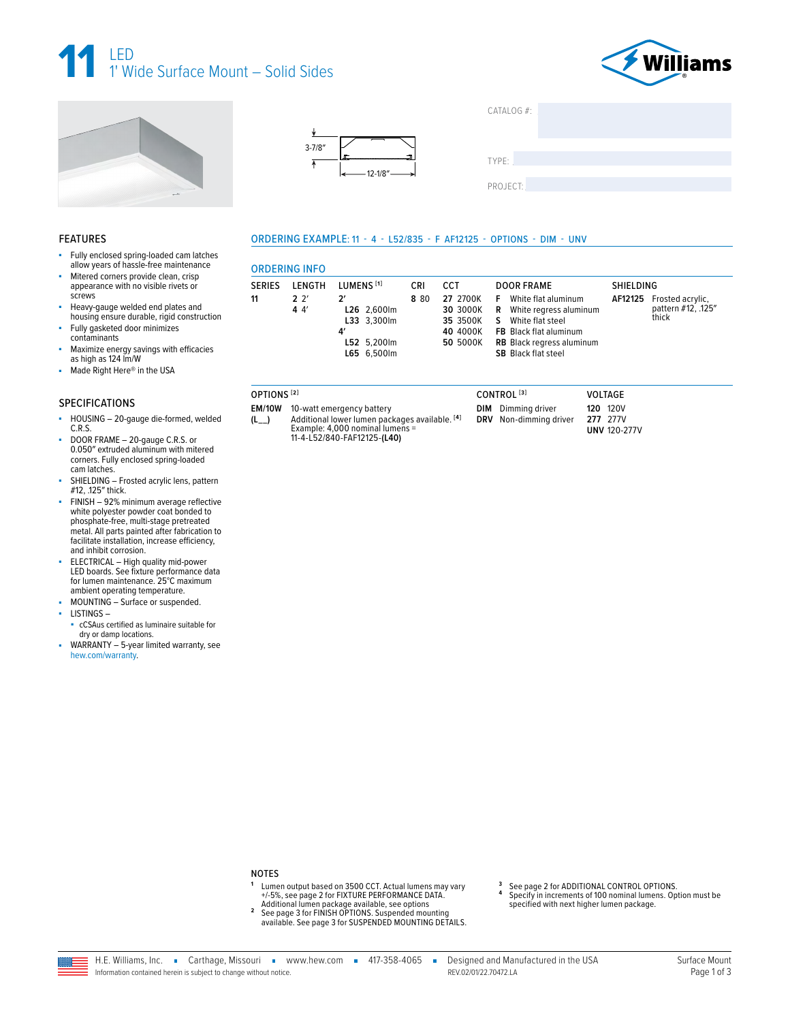





Made Right Here® in the USA



| CATALOG $#$ :     |  |
|-------------------|--|
|                   |  |
|                   |  |
| TYPF <sup>.</sup> |  |

PROJECT:

### ORDERING EXAMPLE: 11 - 4 - L52/835 - F AF12125 - OPTIONS - DIM - UNV

| Fully enclosed spring-loaded cam latches<br>allow years of hassle-free maintenance<br>Mitered corners provide clean, crisp |               | <b>ORDERING INFO</b> |                            |      |                      |                                                                |                  |                             |
|----------------------------------------------------------------------------------------------------------------------------|---------------|----------------------|----------------------------|------|----------------------|----------------------------------------------------------------|------------------|-----------------------------|
| appearance with no visible rivets or                                                                                       | <b>SERIES</b> | LENGTH               | LUMENS <sup>[1]</sup>      | CRI  | CCT                  | <b>DOOR FRAME</b>                                              | <b>SHIELDING</b> |                             |
| screws                                                                                                                     | 11            | $2^{\prime}$         | $\mathcal{P}'$             | 8 80 | 27 2700K             | White flat aluminum<br>E                                       | AF12125          | Frosted acrylic,            |
| Heavy-gauge welded end plates and<br>housing ensure durable, rigid construction                                            |               | 44'                  | L26 2.600lm<br>L33 3.300lm |      | 30 3000K<br>35 3500K | White regress aluminum<br>R<br>White flat steel                |                  | nattern #12, .125"<br>thick |
| Fully gasketed door minimizes<br>contaminants                                                                              |               |                      | 4′                         |      | 40 4000K             | <b>FB</b> Black flat aluminum                                  |                  |                             |
| Maximize energy savings with efficacies<br>as high as 124 lm/W                                                             |               |                      | L52 5.200lm<br>L65 6,500lm |      | 50 5000K             | <b>RB</b> Black regress aluminum<br><b>SB</b> Black flat steel |                  |                             |
| Made Right Here® in the USA                                                                                                |               |                      |                            |      |                      |                                                                |                  |                             |

### **SPECIFICATIONS**

**FEATURES** 

×.

- HOUSING 20-gauge die-formed, welded à.  $C.R.S.$
- DOOR FRAME 20-gauge C.R.S. or<br>0.050" extruded aluminum with mitered corners. Fully enclosed spring-loaded cam latches.
- SHIELDING Frosted acrylic lens, pattern #12, .125" thick.
- FINISH 92% minimum average reflective<br>white polyester powder coat bonded to phosphate-free, multi-stage pretreated metal. All parts painted after fabrication to facilitate installation, increase efficiency, and inhibit corrosion.
- ELECTRICAL High quality mid-power LED boards. See fixture performance data for lumen maintenance. 25°C maximum ambient operating temperature.
- MOUNTING Surface or suspended.
- LISTINGS-
- cCSAus certified as luminaire suitable for dry or damp locations.
- WARRANTY 5-year limited warranty, see ×. hew.com/warranty.
- OPTIONS<sup>[2]</sup> EM/10W 10-watt emergency battery Additional lower lumen packages available. <sup>[4]</sup><br>Example: 4,000 nominal lumens =<br>11-4-L52/840-FAF12125-**(L40)**  $(L_{--})$
- CONTROL<sup>[3]</sup> VOLTAGE **DIM** Dimming driver **120 120V** DRV Non-dimming driver 277 277V **UNV 120-277V**

### **NOTES**

- Lumen output based on 3500 CCT. Actual lumens may vary Extra Secretary of the PERFORMANCE DATA.<br>
+/-5%, see page 2 for FIXTURE PERFORMANCE DATA.<br>
Additional lumen package available, see options
- $\overline{2}$
- See page 3 for FINISH OPTIONS. Suspended mounting<br>available. See page 3 for SUSPENDED MOUNTING DETAILS.
- See page 2 for ADDITIONAL CONTROL OPTIONS.  $\ddot{\mathbf{4}}$
- Specify in increments of 100 nominal lumens. Option must be specified with next higher lumen package.

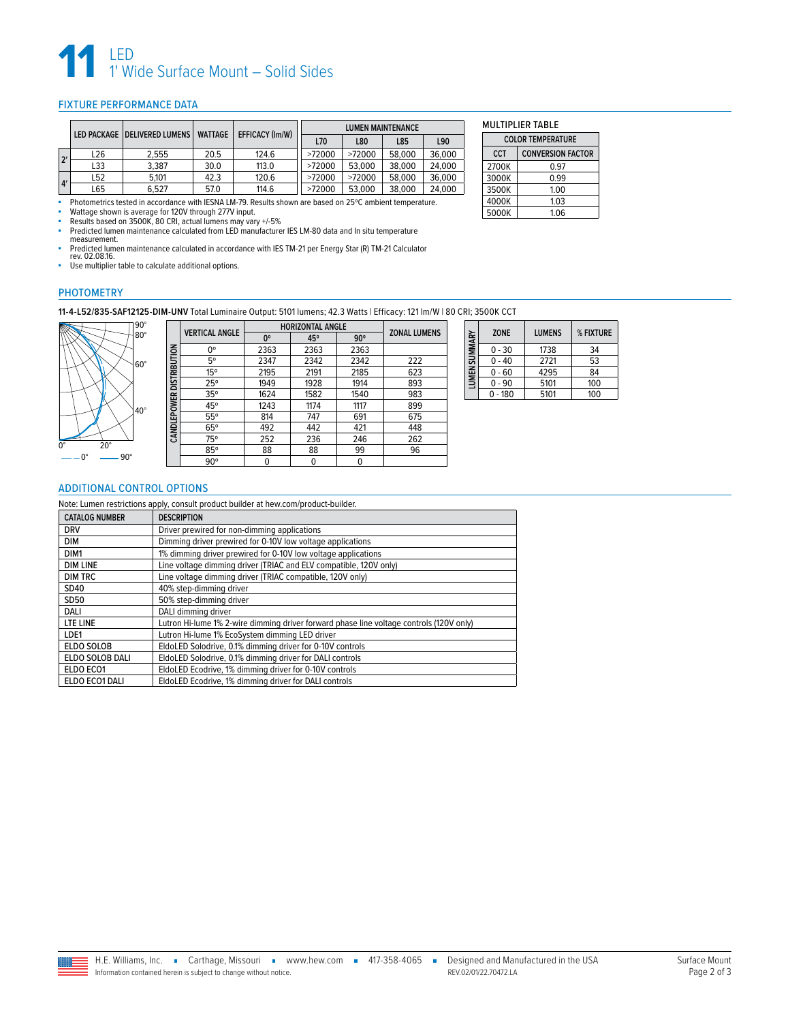

## <span id="page-1-0"></span>FIXTURE PERFORMANCE DATA

|    | LED PACKAGE   DELIVERED LUMENS |       | <b>WATTAGE</b> | EFFICACY (Im/W) |        |        | <b>LUMEN MAINTENANCE</b> |        |
|----|--------------------------------|-------|----------------|-----------------|--------|--------|--------------------------|--------|
|    |                                |       |                | L70             | L80    | L85    | L90                      |        |
| 2' | L26                            | 2.555 | 20.5           | 124.6           | >72000 | >72000 | 58,000                   | 36,000 |
|    | L33                            | 3.387 | 30.0           | 113.0           | >72000 | 53,000 | 38,000                   | 24,000 |
| 4' | -52                            | 5.101 | 42.3           | 120.6           | >72000 | >72000 | 58,000                   | 36,000 |
|    | -65                            | 6.527 | 57.0           | 114.6           | >72000 | 53,000 | 38,000                   | 24.000 |

■ Photometrics tested in accordance with IESNA LM-79. Results shown are based on 25℃ ambient temperature.

■ Wattage shown is average for 120V through 277V input.<br>■ Results based on 3500K 80 CRL actual lumens may van

■ Results based on 3500K, 80 CRI, actual lumens may vary +/-5%<br>■ Predicted lumen maintenance calculated from LED manufacture

■ Predicted lumen maintenance calculated from LED manufacturer IES LM-80 data and In situ temperature measurement.

■ Predicted lumen maintenance calculated in accordance with IES TM-21 per Energy Star (R) TM-21 Calculator rev. 02.08.16.

■ Use multiplier table to calculate additional options.

## PHOTOMETRY

**11-4-L52/835-SAF12125-DIM-UNV** Total Luminaire Output: 5101 lumens; 42.3 Watts | Efficacy: 121 lm/W | 80 CRI; 3500K CCT



|                           |                       | <b>HORIZONTAL ANGLE</b> |      |            |                     |
|---------------------------|-----------------------|-------------------------|------|------------|---------------------|
|                           | <b>VERTICAL ANGLE</b> | $0^{\circ}$             | 45°  | $90^\circ$ | <b>ZONAL LUMENS</b> |
|                           | Ω°                    | 2363                    | 2363 | 2363       |                     |
|                           | 5°                    | 2347                    | 2342 | 2342       | 222                 |
| CAND LEPOWER DISTRIBUTION | 15°                   | 2195                    | 2191 | 2185       | 623                 |
|                           | 25°                   | 1949                    | 1928 | 1914       | 893                 |
|                           | 35°                   | 1624                    | 1582 | 1540       | 983                 |
|                           | 45°                   | 1243                    | 1174 | 1117       | 899                 |
|                           | 55°                   | 814                     | 747  | 691        | 675                 |
|                           | $65^\circ$            | 492                     | 442  | 421        | 448                 |
|                           | 75°                   | 252                     | 236  | 246        | 262                 |
|                           | 85°                   | 88                      | 88   | 99         | 96                  |
|                           | $90^{\circ}$          | 0                       | 0    | 0          |                     |

| LUMEN SUMMARY | <b>ZONE</b> | <b>LUMENS</b> | % FIXTURE |
|---------------|-------------|---------------|-----------|
|               | $0 - 30$    | 1738          | 34        |
|               | $0 - 40$    | 2721          | 53        |
|               | $0 - 60$    | 4295          | 84        |
|               | $0 - 90$    | 5101          | 100       |
|               | $-180$      | 5101          | 100       |

MULTIPLIER TABLE **COLOR TEMPERATURE CCT CONVERSION FACTOR** 2700K 0.97<br>3000K 0.99 3000K 0.99 3500K 1.00 4000K 1.03

 $5000K$ 

### <span id="page-1-1"></span>ADDITIONAL CONTROL OPTIONS

Note: Lumen restrictions apply, consult product builder at hew.com/product-builder.

| <b>CATALOG NUMBER</b> | <b>DESCRIPTION</b>                                                                      |
|-----------------------|-----------------------------------------------------------------------------------------|
| <b>DRV</b>            | Driver prewired for non-dimming applications                                            |
| DIM                   | Dimming driver prewired for 0-10V low voltage applications                              |
| DIM1                  | 1% dimming driver prewired for 0-10V low voltage applications                           |
| <b>DIM LINE</b>       | Line voltage dimming driver (TRIAC and ELV compatible, 120V only)                       |
| <b>DIM TRC</b>        | Line voltage dimming driver (TRIAC compatible, 120V only)                               |
| SD40                  | 40% step-dimming driver                                                                 |
| SD50                  | 50% step-dimming driver                                                                 |
| DALI                  | DALI dimming driver                                                                     |
| LTE LINE              | Lutron Hi-lume 1% 2-wire dimming driver forward phase line voltage controls (120V only) |
| LDE1                  | Lutron Hi-lume 1% EcoSystem dimming LED driver                                          |
| <b>ELDO SOLOB</b>     | EldoLED Solodrive, 0.1% dimming driver for 0-10V controls                               |
| ELDO SOLOB DALI       | EldoLED Solodrive, 0.1% dimming driver for DALI controls                                |
| ELDO ECO1             | EldoLED Ecodrive, 1% dimming driver for 0-10V controls                                  |
| ELDO ECO1 DALI        | EldoLED Ecodrive, 1% dimming driver for DALI controls                                   |